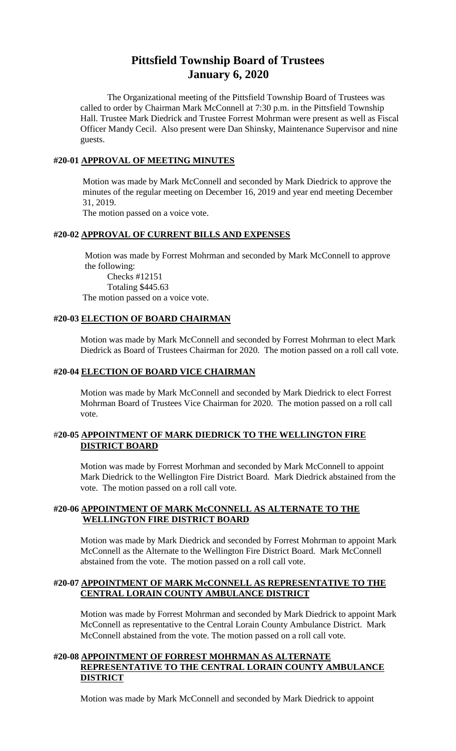# **Pittsfield Township Board of Trustees January 6, 2020**

The Organizational meeting of the Pittsfield Township Board of Trustees was called to order by Chairman Mark McConnell at 7:30 p.m. in the Pittsfield Township Hall. Trustee Mark Diedrick and Trustee Forrest Mohrman were present as well as Fiscal Officer Mandy Cecil. Also present were Dan Shinsky, Maintenance Supervisor and nine guests.

### **#20-01 APPROVAL OF MEETING MINUTES**

Motion was made by Mark McConnell and seconded by Mark Diedrick to approve the minutes of the regular meeting on December 16, 2019 and year end meeting December 31, 2019.

The motion passed on a voice vote.

# **#20-02 APPROVAL OF CURRENT BILLS AND EXPENSES**

Motion was made by Forrest Mohrman and seconded by Mark McConnell to approve the following:

Checks #12151 Totaling \$445.63 The motion passed on a voice vote.

### **#20-03 ELECTION OF BOARD CHAIRMAN**

Motion was made by Mark McConnell and seconded by Forrest Mohrman to elect Mark Diedrick as Board of Trustees Chairman for 2020. The motion passed on a roll call vote.

## **#20-04 ELECTION OF BOARD VICE CHAIRMAN**

Motion was made by Mark McConnell and seconded by Mark Diedrick to elect Forrest Mohrman Board of Trustees Vice Chairman for 2020. The motion passed on a roll call vote.

## #**20-05 APPOINTMENT OF MARK DIEDRICK TO THE WELLINGTON FIRE DISTRICT BOARD**

Motion was made by Forrest Morhman and seconded by Mark McConnell to appoint Mark Diedrick to the Wellington Fire District Board. Mark Diedrick abstained from the vote. The motion passed on a roll call vote.

## **#20-06 APPOINTMENT OF MARK McCONNELL AS ALTERNATE TO THE WELLINGTON FIRE DISTRICT BOARD**

Motion was made by Mark Diedrick and seconded by Forrest Mohrman to appoint Mark McConnell as the Alternate to the Wellington Fire District Board. Mark McConnell abstained from the vote. The motion passed on a roll call vote.

## **#20-07 APPOINTMENT OF MARK McCONNELL AS REPRESENTATIVE TO THE CENTRAL LORAIN COUNTY AMBULANCE DISTRICT**

Motion was made by Forrest Mohrman and seconded by Mark Diedrick to appoint Mark McConnell as representative to the Central Lorain County Ambulance District. Mark McConnell abstained from the vote. The motion passed on a roll call vote.

# **#20-08 APPOINTMENT OF FORREST MOHRMAN AS ALTERNATE REPRESENTATIVE TO THE CENTRAL LORAIN COUNTY AMBULANCE DISTRICT**

Motion was made by Mark McConnell and seconded by Mark Diedrick to appoint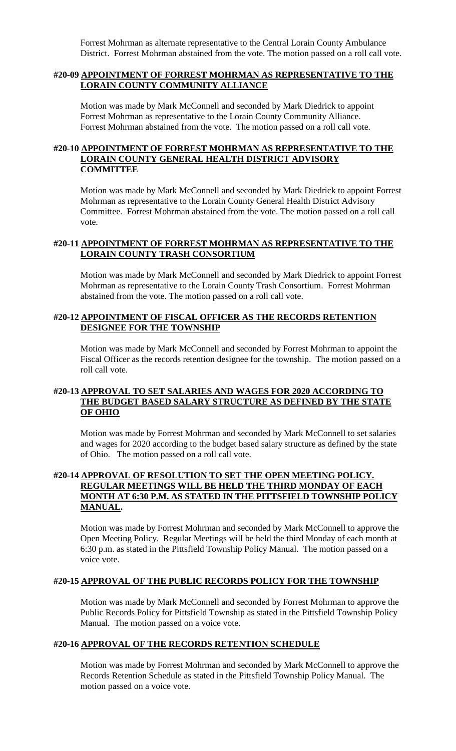Forrest Mohrman as alternate representative to the Central Lorain County Ambulance District. Forrest Mohrman abstained from the vote. The motion passed on a roll call vote.

#### **#20-09 APPOINTMENT OF FORREST MOHRMAN AS REPRESENTATIVE TO THE LORAIN COUNTY COMMUNITY ALLIANCE**

Motion was made by Mark McConnell and seconded by Mark Diedrick to appoint Forrest Mohrman as representative to the Lorain County Community Alliance. Forrest Mohrman abstained from the vote. The motion passed on a roll call vote.

## **#20-10 APPOINTMENT OF FORREST MOHRMAN AS REPRESENTATIVE TO THE LORAIN COUNTY GENERAL HEALTH DISTRICT ADVISORY COMMITTEE**

Motion was made by Mark McConnell and seconded by Mark Diedrick to appoint Forrest Mohrman as representative to the Lorain County General Health District Advisory Committee. Forrest Mohrman abstained from the vote. The motion passed on a roll call vote.

# **#20-11 APPOINTMENT OF FORREST MOHRMAN AS REPRESENTATIVE TO THE LORAIN COUNTY TRASH CONSORTIUM**

Motion was made by Mark McConnell and seconded by Mark Diedrick to appoint Forrest Mohrman as representative to the Lorain County Trash Consortium. Forrest Mohrman abstained from the vote. The motion passed on a roll call vote.

## **#20-12 APPOINTMENT OF FISCAL OFFICER AS THE RECORDS RETENTION DESIGNEE FOR THE TOWNSHIP**

Motion was made by Mark McConnell and seconded by Forrest Mohrman to appoint the Fiscal Officer as the records retention designee for the township. The motion passed on a roll call vote.

# **#20-13 APPROVAL TO SET SALARIES AND WAGES FOR 2020 ACCORDING TO THE BUDGET BASED SALARY STRUCTURE AS DEFINED BY THE STATE OF OHIO**

Motion was made by Forrest Mohrman and seconded by Mark McConnell to set salaries and wages for 2020 according to the budget based salary structure as defined by the state of Ohio. The motion passed on a roll call vote.

# **#20-14 APPROVAL OF RESOLUTION TO SET THE OPEN MEETING POLICY. REGULAR MEETINGS WILL BE HELD THE THIRD MONDAY OF EACH MONTH AT 6:30 P.M. AS STATED IN THE PITTSFIELD TOWNSHIP POLICY MANUAL.**

Motion was made by Forrest Mohrman and seconded by Mark McConnell to approve the Open Meeting Policy. Regular Meetings will be held the third Monday of each month at 6:30 p.m. as stated in the Pittsfield Township Policy Manual. The motion passed on a voice vote.

### **#20-15 APPROVAL OF THE PUBLIC RECORDS POLICY FOR THE TOWNSHIP**

Motion was made by Mark McConnell and seconded by Forrest Mohrman to approve the Public Records Policy for Pittsfield Township as stated in the Pittsfield Township Policy Manual. The motion passed on a voice vote.

### **#20-16 APPROVAL OF THE RECORDS RETENTION SCHEDULE**

Motion was made by Forrest Mohrman and seconded by Mark McConnell to approve the Records Retention Schedule as stated in the Pittsfield Township Policy Manual. The motion passed on a voice vote.